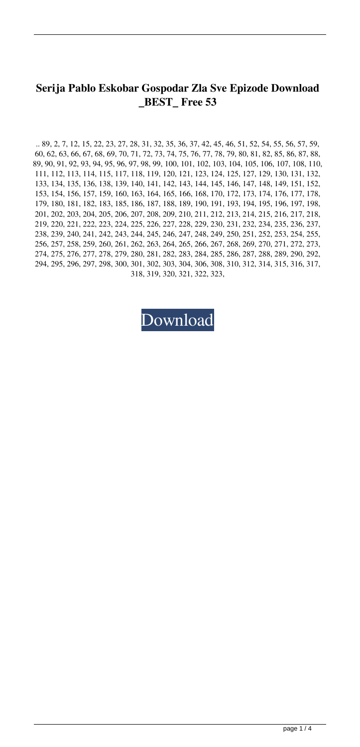## **Serija Pablo Eskobar Gospodar Zla Sve Epizode Download \_BEST\_ Free 53**

.. 89, 2, 7, 12, 15, 22, 23, 27, 28, 31, 32, 35, 36, 37, 42, 45, 46, 51, 52, 54, 55, 56, 57, 59, 60, 62, 63, 66, 67, 68, 69, 70, 71, 72, 73, 74, 75, 76, 77, 78, 79, 80, 81, 82, 85, 86, 87, 88, 89, 90, 91, 92, 93, 94, 95, 96, 97, 98, 99, 100, 101, 102, 103, 104, 105, 106, 107, 108, 110, 111, 112, 113, 114, 115, 117, 118, 119, 120, 121, 123, 124, 125, 127, 129, 130, 131, 132, 133, 134, 135, 136, 138, 139, 140, 141, 142, 143, 144, 145, 146, 147, 148, 149, 151, 152, 153, 154, 156, 157, 159, 160, 163, 164, 165, 166, 168, 170, 172, 173, 174, 176, 177, 178, 179, 180, 181, 182, 183, 185, 186, 187, 188, 189, 190, 191, 193, 194, 195, 196, 197, 198, 201, 202, 203, 204, 205, 206, 207, 208, 209, 210, 211, 212, 213, 214, 215, 216, 217, 218, 219, 220, 221, 222, 223, 224, 225, 226, 227, 228, 229, 230, 231, 232, 234, 235, 236, 237, 238, 239, 240, 241, 242, 243, 244, 245, 246, 247, 248, 249, 250, 251, 252, 253, 254, 255, 256, 257, 258, 259, 260, 261, 262, 263, 264, 265, 266, 267, 268, 269, 270, 271, 272, 273, 274, 275, 276, 277, 278, 279, 280, 281, 282, 283, 284, 285, 286, 287, 288, 289, 290, 292, 294, 295, 296, 297, 298, 300, 301, 302, 303, 304, 306, 308, 310, 312, 314, 315, 316, 317, 318, 319, 320, 321, 322, 323,

[Download](https://tiurll.com/2l07qi)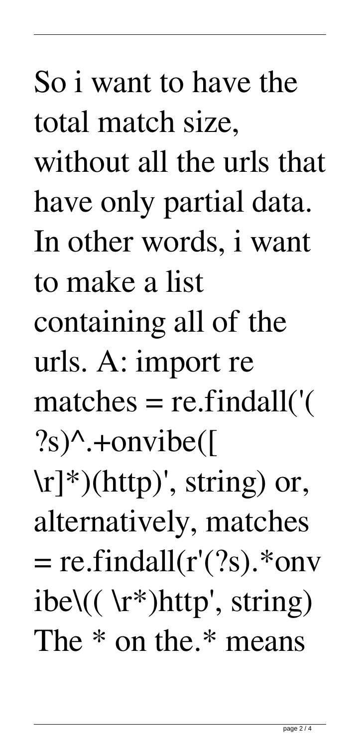## So i want to have the total match size, without all the urls that have only partial data. In other words, i want to make a list containing all of the urls. A: import re matches = re.findall('(  $?s)$ ^.+onvibe([ \r]\*)(http)', string) or, alternatively, matches  $=$  re.findall(r'(?s).\*onv ibe\(( \r\*)http', string) The \* on the.\* means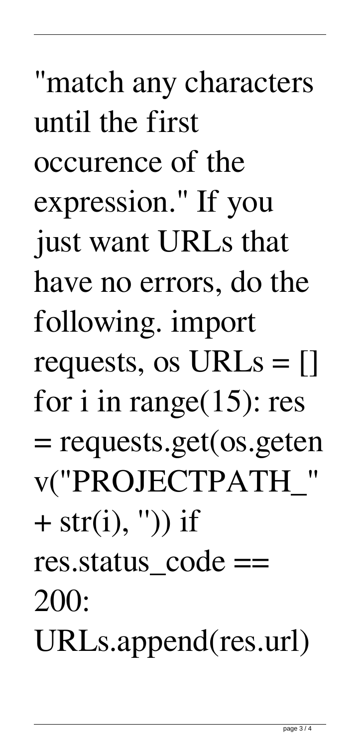"match any characters until the first occurence of the expression." If you just want URLs that have no errors, do the following. import requests, os  $URLs = []$ for i in range(15): res = requests.get(os.geten v("PROJECTPATH\_"  $+ str(i), "$ ) if res.status code == 200: URLs.append(res.url)